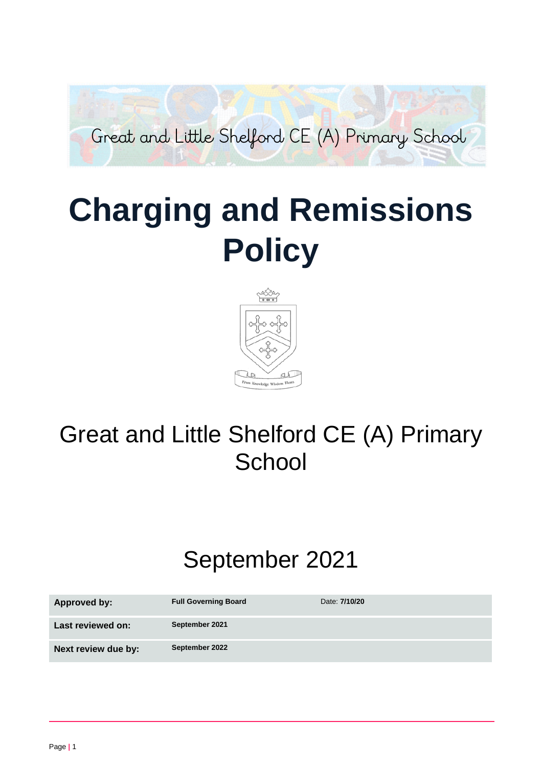

# **Charging and Remissions Policy**



# Great and Little Shelford CE (A) Primary **School**

# September 2021

| Approved by:        | <b>Full Governing Board</b> | Date: 7/10/20 |
|---------------------|-----------------------------|---------------|
| Last reviewed on:   | September 2021              |               |
| Next review due by: | September 2022              |               |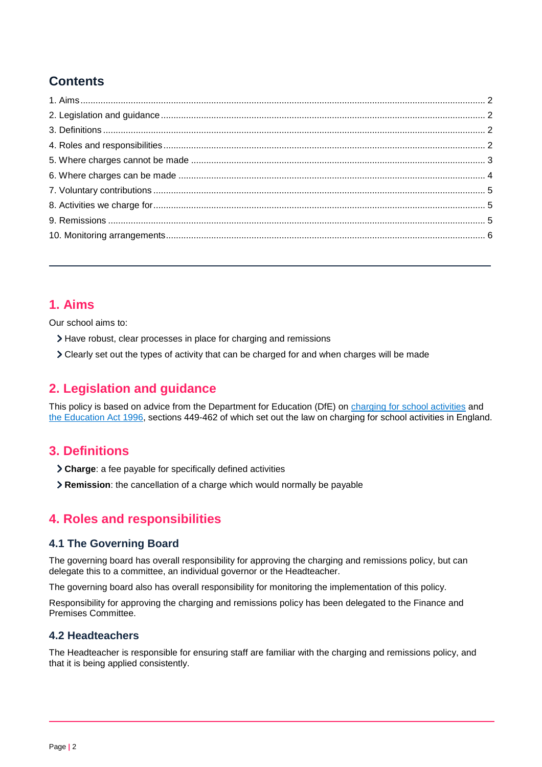# **Contents**

## <span id="page-1-0"></span>**1. Aims**

Our school aims to:

- Have robust, clear processes in place for charging and remissions
- Clearly set out the types of activity that can be charged for and when charges will be made

# <span id="page-1-1"></span>**2. Legislation and guidance**

This policy is based on advice from the Department for Education (DfE) on [charging for school activities](https://www.gov.uk/government/publications/charging-for-school-activities) and [the Education Act 1996,](http://www.legislation.gov.uk/ukpga/1996/56/part/VI/chapter/III) sections 449-462 of which set out the law on charging for school activities in England.

# <span id="page-1-2"></span>**3. Definitions**

- **Charge**: a fee payable for specifically defined activities
- **Remission**: the cancellation of a charge which would normally be payable

# <span id="page-1-3"></span>**4. Roles and responsibilities**

#### **4.1 The Governing Board**

The governing board has overall responsibility for approving the charging and remissions policy, but can delegate this to a committee, an individual governor or the Headteacher.

The governing board also has overall responsibility for monitoring the implementation of this policy.

Responsibility for approving the charging and remissions policy has been delegated to the Finance and Premises Committee.

#### **4.2 Headteachers**

The Headteacher is responsible for ensuring staff are familiar with the charging and remissions policy, and that it is being applied consistently.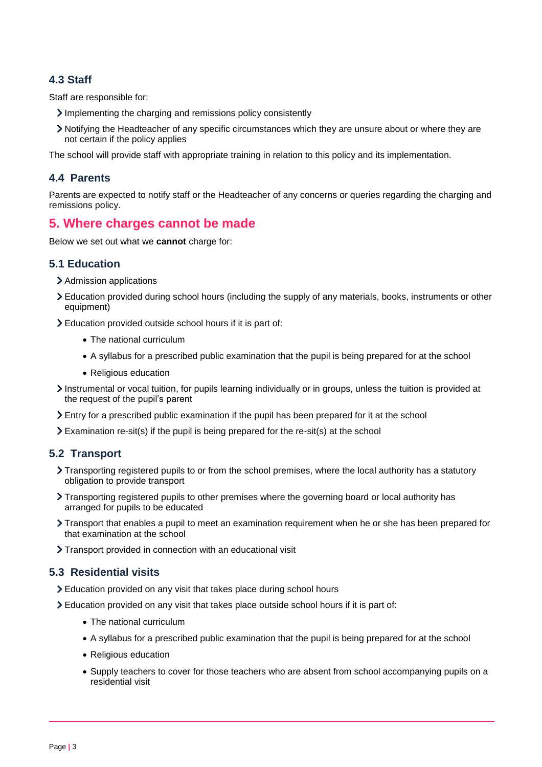#### **4.3 Staff**

Staff are responsible for:

- Implementing the charging and remissions policy consistently
- Notifying the Headteacher of any specific circumstances which they are unsure about or where they are not certain if the policy applies

The school will provide staff with appropriate training in relation to this policy and its implementation.

#### **4.4 Parents**

Parents are expected to notify staff or the Headteacher of any concerns or queries regarding the charging and remissions policy.

## <span id="page-2-0"></span>**5. Where charges cannot be made**

Below we set out what we **cannot** charge for:

#### **5.1 Education**

- > Admission applications
- Education provided during school hours (including the supply of any materials, books, instruments or other equipment)
- Education provided outside school hours if it is part of:
	- The national curriculum
	- A syllabus for a prescribed public examination that the pupil is being prepared for at the school
	- Religious education
- Instrumental or vocal tuition, for pupils learning individually or in groups, unless the tuition is provided at the request of the pupil's parent
- Entry for a prescribed public examination if the pupil has been prepared for it at the school
- Examination re-sit(s) if the pupil is being prepared for the re-sit(s) at the school

#### **5.2 Transport**

- Transporting registered pupils to or from the school premises, where the local authority has a statutory obligation to provide transport
- Transporting registered pupils to other premises where the governing board or local authority has arranged for pupils to be educated
- Transport that enables a pupil to meet an examination requirement when he or she has been prepared for that examination at the school
- > Transport provided in connection with an educational visit

#### **5.3 Residential visits**

- Education provided on any visit that takes place during school hours
- Education provided on any visit that takes place outside school hours if it is part of:
	- The national curriculum
	- A syllabus for a prescribed public examination that the pupil is being prepared for at the school
	- Religious education
	- Supply teachers to cover for those teachers who are absent from school accompanying pupils on a residential visit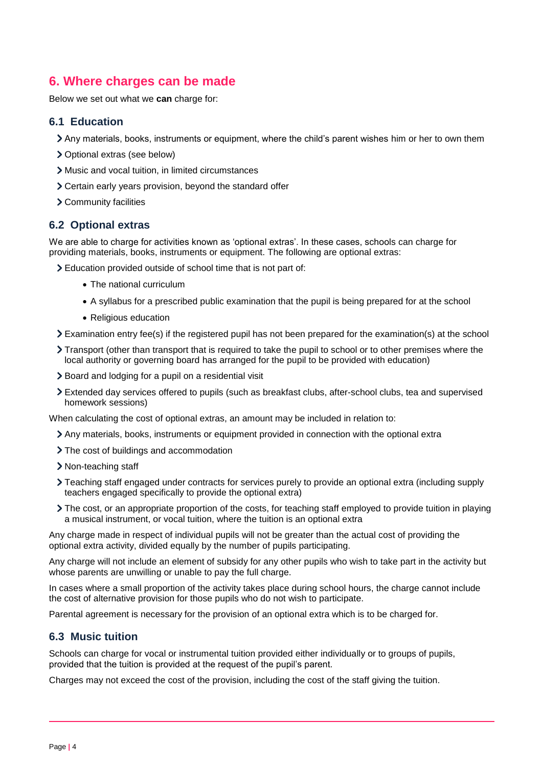# <span id="page-3-0"></span>**6. Where charges can be made**

Below we set out what we **can** charge for:

#### **6.1 Education**

- Any materials, books, instruments or equipment, where the child's parent wishes him or her to own them
- Optional extras (see below)
- Music and vocal tuition, in limited circumstances
- Certain early years provision, beyond the standard offer
- Community facilities

#### **6.2 Optional extras**

We are able to charge for activities known as 'optional extras'. In these cases, schools can charge for providing materials, books, instruments or equipment. The following are optional extras:

Education provided outside of school time that is not part of:

- The national curriculum
- A syllabus for a prescribed public examination that the pupil is being prepared for at the school
- Religious education
- Examination entry fee(s) if the registered pupil has not been prepared for the examination(s) at the school
- Transport (other than transport that is required to take the pupil to school or to other premises where the local authority or governing board has arranged for the pupil to be provided with education)
- Board and lodging for a pupil on a residential visit
- Extended day services offered to pupils (such as breakfast clubs, after-school clubs, tea and supervised homework sessions)

When calculating the cost of optional extras, an amount may be included in relation to:

- Any materials, books, instruments or equipment provided in connection with the optional extra
- > The cost of buildings and accommodation
- > Non-teaching staff
- Teaching staff engaged under contracts for services purely to provide an optional extra (including supply teachers engaged specifically to provide the optional extra)
- The cost, or an appropriate proportion of the costs, for teaching staff employed to provide tuition in playing a musical instrument, or vocal tuition, where the tuition is an optional extra

Any charge made in respect of individual pupils will not be greater than the actual cost of providing the optional extra activity, divided equally by the number of pupils participating.

Any charge will not include an element of subsidy for any other pupils who wish to take part in the activity but whose parents are unwilling or unable to pay the full charge.

In cases where a small proportion of the activity takes place during school hours, the charge cannot include the cost of alternative provision for those pupils who do not wish to participate.

Parental agreement is necessary for the provision of an optional extra which is to be charged for.

#### **6.3 Music tuition**

Schools can charge for vocal or instrumental tuition provided either individually or to groups of pupils, provided that the tuition is provided at the request of the pupil's parent.

Charges may not exceed the cost of the provision, including the cost of the staff giving the tuition.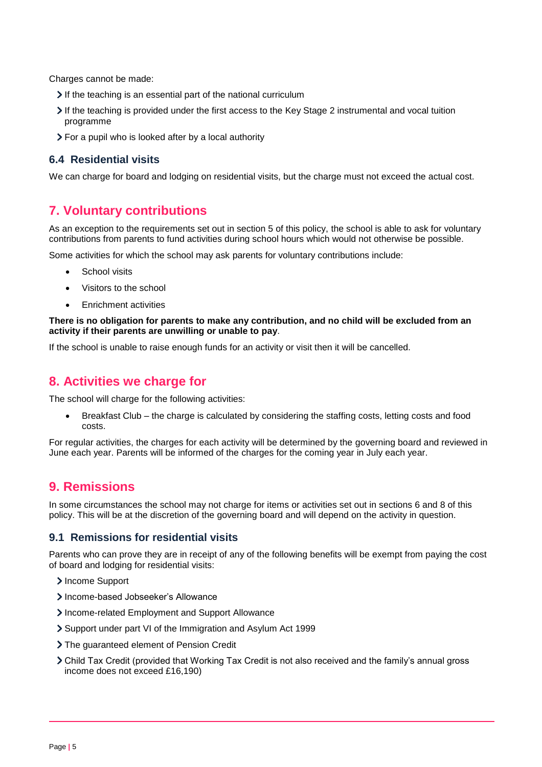Charges cannot be made:

- If the teaching is an essential part of the national curriculum
- If the teaching is provided under the first access to the Key Stage 2 instrumental and vocal tuition programme
- For a pupil who is looked after by a local authority

#### **6.4 Residential visits**

We can charge for board and lodging on residential visits, but the charge must not exceed the actual cost.

## <span id="page-4-0"></span>**7. Voluntary contributions**

As an exception to the requirements set out in section 5 of this policy, the school is able to ask for voluntary contributions from parents to fund activities during school hours which would not otherwise be possible.

Some activities for which the school may ask parents for voluntary contributions include:

- School visits
- Visitors to the school
- Enrichment activities

**There is no obligation for parents to make any contribution, and no child will be excluded from an activity if their parents are unwilling or unable to pay**.

If the school is unable to raise enough funds for an activity or visit then it will be cancelled.

# <span id="page-4-1"></span>**8. Activities we charge for**

The school will charge for the following activities:

 Breakfast Club – the charge is calculated by considering the staffing costs, letting costs and food costs.

For regular activities, the charges for each activity will be determined by the governing board and reviewed in June each year. Parents will be informed of the charges for the coming year in July each year.

# <span id="page-4-2"></span>**9. Remissions**

In some circumstances the school may not charge for items or activities set out in sections 6 and 8 of this policy. This will be at the discretion of the governing board and will depend on the activity in question.

#### **9.1 Remissions for residential visits**

Parents who can prove they are in receipt of any of the following benefits will be exempt from paying the cost of board and lodging for residential visits:

- > Income Support
- > Income-based Jobseeker's Allowance
- Income-related Employment and Support Allowance
- Support under part VI of the Immigration and Asylum Act 1999
- The guaranteed element of Pension Credit
- Child Tax Credit (provided that Working Tax Credit is not also received and the family's annual gross income does not exceed £16,190)